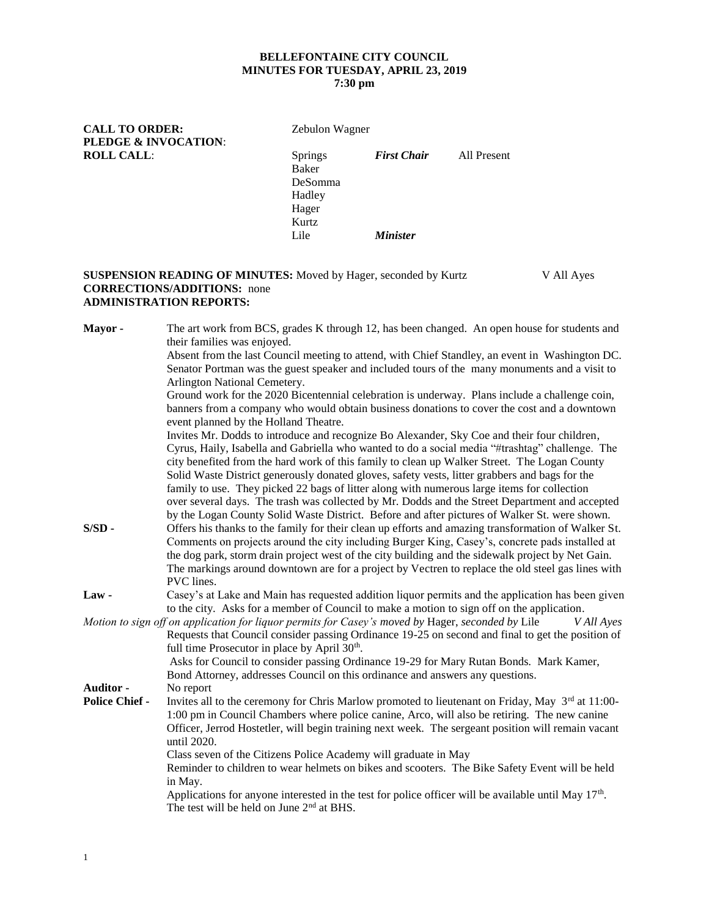# **BELLEFONTAINE CITY COUNCIL MINUTES FOR TUESDAY, APRIL 23, 2019**

## **7:30 pm**

**CALL TO ORDER:** Zebulon Wagner **PLEDGE & INVOCATION**:

**ROLL CALL**: Springs *First Chair* All Present Baker DeSomma Hadley Hager Kurtz Lile *Minister*

#### **SUSPENSION READING OF MINUTES:** Moved by Hager, seconded by Kurtz V All Ayes **CORRECTIONS/ADDITIONS:** none **ADMINISTRATION REPORTS:**

| Mayor -               | The art work from BCS, grades K through 12, has been changed. An open house for students and<br>their families was enjoyed.                                                                                                                                                                                                                                                                                                    |
|-----------------------|--------------------------------------------------------------------------------------------------------------------------------------------------------------------------------------------------------------------------------------------------------------------------------------------------------------------------------------------------------------------------------------------------------------------------------|
|                       | Absent from the last Council meeting to attend, with Chief Standley, an event in Washington DC.<br>Senator Portman was the guest speaker and included tours of the many monuments and a visit to                                                                                                                                                                                                                               |
|                       | Arlington National Cemetery.                                                                                                                                                                                                                                                                                                                                                                                                   |
|                       | Ground work for the 2020 Bicentennial celebration is underway. Plans include a challenge coin,<br>banners from a company who would obtain business donations to cover the cost and a downtown                                                                                                                                                                                                                                  |
|                       | event planned by the Holland Theatre.                                                                                                                                                                                                                                                                                                                                                                                          |
|                       | Invites Mr. Dodds to introduce and recognize Bo Alexander, Sky Coe and their four children,<br>Cyrus, Haily, Isabella and Gabriella who wanted to do a social media "#trashtag" challenge. The<br>city benefited from the hard work of this family to clean up Walker Street. The Logan County<br>Solid Waste District generously donated gloves, safety vests, litter grabbers and bags for the                               |
|                       | family to use. They picked 22 bags of litter along with numerous large items for collection<br>over several days. The trash was collected by Mr. Dodds and the Street Department and accepted<br>by the Logan County Solid Waste District. Before and after pictures of Walker St. were shown.                                                                                                                                 |
| $S/SD$ -              | Offers his thanks to the family for their clean up efforts and amazing transformation of Walker St.<br>Comments on projects around the city including Burger King, Casey's, concrete pads installed at<br>the dog park, storm drain project west of the city building and the sidewalk project by Net Gain.<br>The markings around downtown are for a project by Vectren to replace the old steel gas lines with<br>PVC lines. |
| <b>Law</b> -          | Casey's at Lake and Main has requested addition liquor permits and the application has been given<br>to the city. Asks for a member of Council to make a motion to sign off on the application.                                                                                                                                                                                                                                |
|                       | Motion to sign off on application for liquor permits for Casey's moved by Hager, seconded by Lile<br>V All Ayes                                                                                                                                                                                                                                                                                                                |
|                       | Requests that Council consider passing Ordinance 19-25 on second and final to get the position of<br>full time Prosecutor in place by April 30 <sup>th</sup> .                                                                                                                                                                                                                                                                 |
|                       | Asks for Council to consider passing Ordinance 19-29 for Mary Rutan Bonds. Mark Kamer,                                                                                                                                                                                                                                                                                                                                         |
|                       | Bond Attorney, addresses Council on this ordinance and answers any questions.                                                                                                                                                                                                                                                                                                                                                  |
| Auditor -             | No report                                                                                                                                                                                                                                                                                                                                                                                                                      |
| <b>Police Chief -</b> | Invites all to the ceremony for Chris Marlow promoted to lieutenant on Friday, May $3^{rd}$ at 11:00-<br>1:00 pm in Council Chambers where police canine, Arco, will also be retiring. The new canine<br>Officer, Jerrod Hostetler, will begin training next week. The sergeant position will remain vacant<br>until 2020.                                                                                                     |
|                       | Class seven of the Citizens Police Academy will graduate in May<br>Reminder to children to wear helmets on bikes and scooters. The Bike Safety Event will be held<br>in May.                                                                                                                                                                                                                                                   |
|                       | Applications for anyone interested in the test for police officer will be available until May $17th$ .<br>The test will be held on June 2 <sup>nd</sup> at BHS.                                                                                                                                                                                                                                                                |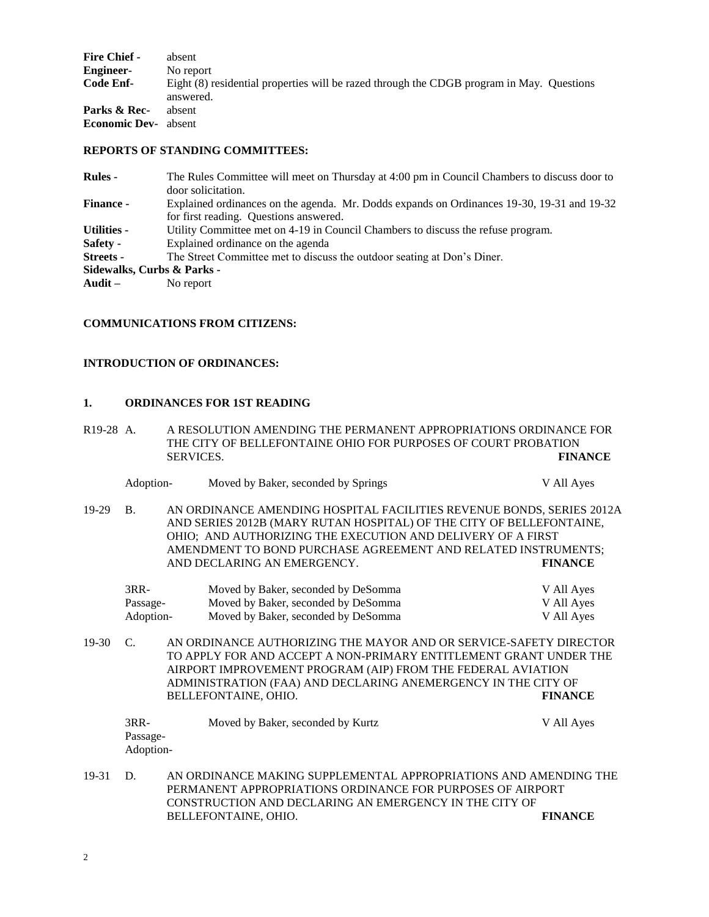| <b>Fire Chief -</b>  | absent                                                                                                 |
|----------------------|--------------------------------------------------------------------------------------------------------|
| <b>Engineer-</b>     | No report                                                                                              |
| Code Enf-            | Eight (8) residential properties will be razed through the CDGB program in May. Questions<br>answered. |
| Parks & Rec-         | absent                                                                                                 |
| <b>Economic Dev-</b> | absent                                                                                                 |

#### **REPORTS OF STANDING COMMITTEES:**

| <b>Rules -</b>             | The Rules Committee will meet on Thursday at 4:00 pm in Council Chambers to discuss door to |
|----------------------------|---------------------------------------------------------------------------------------------|
|                            | door solicitation.                                                                          |
| <b>Finance -</b>           | Explained ordinances on the agenda. Mr. Dodds expands on Ordinances 19-30, 19-31 and 19-32  |
|                            | for first reading. Questions answered.                                                      |
| <b>Utilities -</b>         | Utility Committee met on 4-19 in Council Chambers to discuss the refuse program.            |
| Safety -                   | Explained ordinance on the agenda                                                           |
| <b>Streets -</b>           | The Street Committee met to discuss the outdoor seating at Don's Diner.                     |
| Sidewalks, Curbs & Parks - |                                                                                             |
| Audit –                    | No report                                                                                   |
|                            |                                                                                             |

#### **COMMUNICATIONS FROM CITIZENS:**

### **INTRODUCTION OF ORDINANCES:**

#### **1. ORDINANCES FOR 1ST READING**

| R <sub>19</sub> -28 A. | A RESOLUTION AMENDING THE PERMANENT APPROPRIATIONS ORDINANCE FOR |                |
|------------------------|------------------------------------------------------------------|----------------|
|                        | THE CITY OF BELLEFONTAINE OHIO FOR PURPOSES OF COURT PROBATION   |                |
|                        | <b>SERVICES.</b>                                                 | <b>FINANCE</b> |

|       | Adoption-                       | Moved by Baker, seconded by Springs                                                                                                                                                                                                                                                                          | V All Ayes                             |
|-------|---------------------------------|--------------------------------------------------------------------------------------------------------------------------------------------------------------------------------------------------------------------------------------------------------------------------------------------------------------|----------------------------------------|
| 19-29 | <b>B.</b>                       | AN ORDINANCE AMENDING HOSPITAL FACILITIES REVENUE BONDS, SERIES 2012A<br>AND SERIES 2012B (MARY RUTAN HOSPITAL) OF THE CITY OF BELLEFONTAINE,<br>OHIO; AND AUTHORIZING THE EXECUTION AND DELIVERY OF A FIRST<br>AMENDMENT TO BOND PURCHASE AGREEMENT AND RELATED INSTRUMENTS;<br>AND DECLARING AN EMERGENCY. | <b>FINANCE</b>                         |
|       | $3RR-$<br>Passage-<br>Adoption- | Moved by Baker, seconded by DeSomma<br>Moved by Baker, seconded by DeSomma<br>Moved by Baker, seconded by DeSomma                                                                                                                                                                                            | V All Ayes<br>V All Ayes<br>V All Ayes |
| 19-30 | $\mathcal{C}$ .                 | AN ORDINANCE AUTHORIZING THE MAYOR AND OR SERVICE-SAFETY DIRECTOR<br>TO APPLY FOR AND ACCEPT A NON-PRIMARY ENTITLEMENT GRANT UNDER THE<br>AIRPORT IMPROVEMENT PROGRAM (AIP) FROM THE FEDERAL AVIATION<br>ADMINISTRATION (FAA) AND DECLARING ANEMERGENCY IN THE CITY OF<br>BELLEFONTAINE, OHIO.               | <b>FINANCE</b>                         |
|       | $3RR-$<br>Passage-<br>Adoption- | Moved by Baker, seconded by Kurtz                                                                                                                                                                                                                                                                            | V All Ayes                             |
| 19-31 | D.                              | AN ORDINANCE MAKING SUPPLEMENTAL APPROPRIATIONS AND AMENDING THE<br>REDIJJANENT ADDOODI ATIONS ODDINJANCE EOD DUDOGES OF AIDDOPT                                                                                                                                                                             |                                        |

PERMANENT APPROPRIATIONS ORDINANCE FOR PURPOSES OF AIRPORT CONSTRUCTION AND DECLARING AN EMERGENCY IN THE CITY OF BELLEFONTAINE, OHIO.  $\blacksquare$ BELLEFONTAINE, OHIO.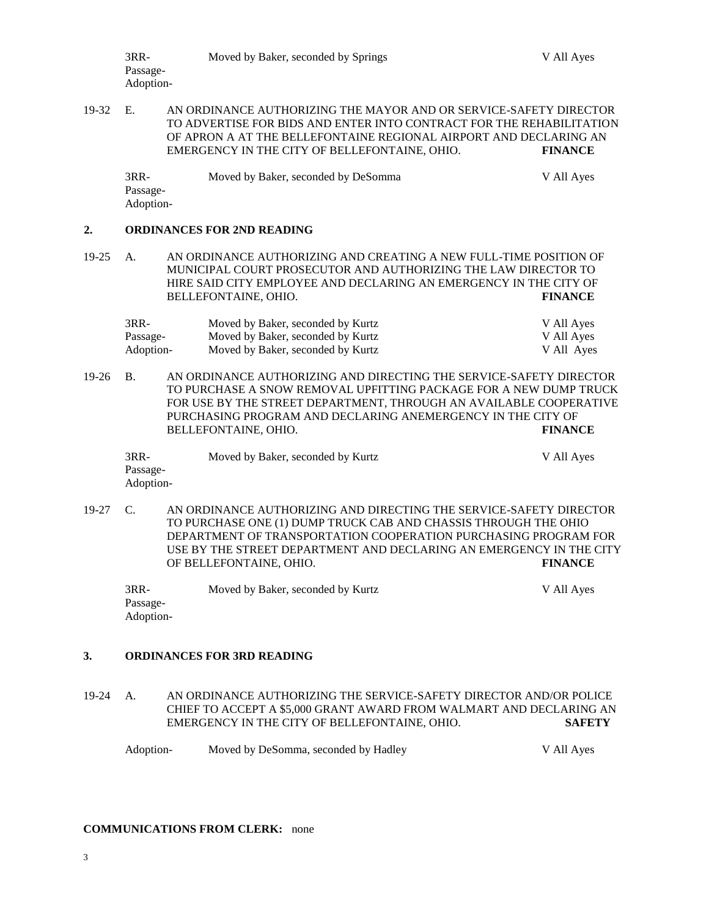3RR- Moved by Baker, seconded by Springs V All Ayes Passage-Adoption-

19-32 E. AN ORDINANCE AUTHORIZING THE MAYOR AND OR SERVICE-SAFETY DIRECTOR TO ADVERTISE FOR BIDS AND ENTER INTO CONTRACT FOR THE REHABILITATION OF APRON A AT THE BELLEFONTAINE REGIONAL AIRPORT AND DECLARING AN EMERGENCY IN THE CITY OF BELLEFONTAINE, OHIO. **FINANCE**

3RR- Moved by Baker, seconded by DeSomma V All Ayes Passage-Adoption-

#### **2. ORDINANCES FOR 2ND READING**

19-25 A. AN ORDINANCE AUTHORIZING AND CREATING A NEW FULL-TIME POSITION OF MUNICIPAL COURT PROSECUTOR AND AUTHORIZING THE LAW DIRECTOR TO HIRE SAID CITY EMPLOYEE AND DECLARING AN EMERGENCY IN THE CITY OF BELLEFONTAINE, OHIO. **FINANCE**

| $3RR-$    | Moved by Baker, seconded by Kurtz | V All Ayes |
|-----------|-----------------------------------|------------|
| Passage-  | Moved by Baker, seconded by Kurtz | V All Ayes |
| Adoption- | Moved by Baker, seconded by Kurtz | V All Ayes |

19-26 B. AN ORDINANCE AUTHORIZING AND DIRECTING THE SERVICE-SAFETY DIRECTOR TO PURCHASE A SNOW REMOVAL UPFITTING PACKAGE FOR A NEW DUMP TRUCK FOR USE BY THE STREET DEPARTMENT, THROUGH AN AVAILABLE COOPERATIVE PURCHASING PROGRAM AND DECLARING ANEMERGENCY IN THE CITY OF BELLEFONTAINE, OHIO. **FINANCE**

| $3RR-$    | Moved by Baker, seconded by Kurtz | V All Ayes |
|-----------|-----------------------------------|------------|
| Passage-  |                                   |            |
| Adoption- |                                   |            |

19-27 C. AN ORDINANCE AUTHORIZING AND DIRECTING THE SERVICE-SAFETY DIRECTOR TO PURCHASE ONE (1) DUMP TRUCK CAB AND CHASSIS THROUGH THE OHIO DEPARTMENT OF TRANSPORTATION COOPERATION PURCHASING PROGRAM FOR USE BY THE STREET DEPARTMENT AND DECLARING AN EMERGENCY IN THE CITY OF BELLEFONTAINE, OHIO. **FINANCE**

3RR- Moved by Baker, seconded by Kurtz V All Ayes Passage-Adoption-

#### **3. ORDINANCES FOR 3RD READING**

- 19-24 A. AN ORDINANCE AUTHORIZING THE SERVICE-SAFETY DIRECTOR AND/OR POLICE CHIEF TO ACCEPT A \$5,000 GRANT AWARD FROM WALMART AND DECLARING AN EMERGENCY IN THE CITY OF BELLEFONTAINE, OHIO. **SAFETY**
	- Adoption- Moved by DeSomma, seconded by Hadley V All Ayes

#### **COMMUNICATIONS FROM CLERK:** none